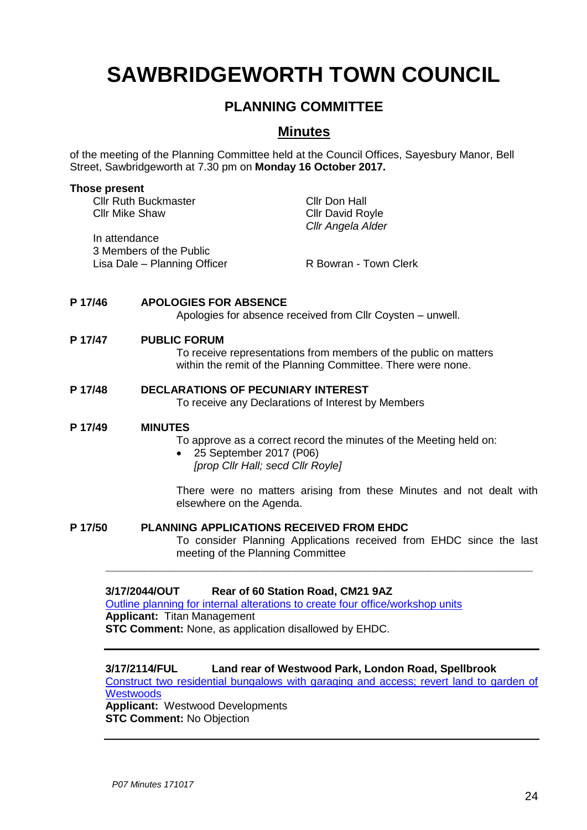# **SAWBRIDGEWORTH TOWN COUNCIL**

## **PLANNING COMMITTEE**

### **Minutes**

of the meeting of the Planning Committee held at the Council Offices, Sayesbury Manor, Bell Street, Sawbridgeworth at 7.30 pm on **Monday 16 October 2017.**

#### **Those present**

| <b>Cllr Ruth Buckmaster</b>  | Cllr Don Hall           |
|------------------------------|-------------------------|
| <b>Cllr Mike Shaw</b>        | <b>Cllr David Royle</b> |
|                              | Cllr Angela Alder       |
| In attendance                |                         |
| 3 Members of the Public      |                         |
| Lisa Dale - Planning Officer | R Bowran - Town Clerk   |
|                              |                         |

#### **P 17/46 APOLOGIES FOR ABSENCE**

Apologies for absence received from Cllr Coysten – unwell.

#### **P 17/47 PUBLIC FORUM**

To receive representations from members of the public on matters within the remit of the Planning Committee. There were none.

# **P 17/48 DECLARATIONS OF PECUNIARY INTEREST**

To receive any Declarations of Interest by Members

#### **P 17/49 MINUTES**

To approve as a correct record the minutes of the Meeting held on:

 25 September 2017 (P06) *[prop Cllr Hall; secd Cllr Royle]*

There were no matters arising from these Minutes and not dealt with elsewhere on the Agenda.

#### **P 17/50 PLANNING APPLICATIONS RECEIVED FROM EHDC**

To consider Planning Applications received from EHDC since the last meeting of the Planning Committee

#### **3/17/2044/OUT Rear of 60 Station Road, CM21 9AZ**

[Outline planning for internal alterations to create four office/workshop units](https://publicaccess.eastherts.gov.uk/online-applications/applicationDetails.do?activeTab=summary&keyVal=OVR36PGL00X00) **Applicant:** Titan Management **STC Comment:** None, as application disallowed by EHDC.

#### **3/17/2114/FUL Land rear of Westwood Park, London Road, Spellbrook**

[Construct two residential bungalows with garaging and access; revert land to garden of](https://publicaccess.eastherts.gov.uk/online-applications/applicationDetails.do?activeTab=summary&keyVal=OW5S0OGL04800)  **[Westwoods](https://publicaccess.eastherts.gov.uk/online-applications/applicationDetails.do?activeTab=summary&keyVal=OW5S0OGL04800)** 

**\_\_\_\_\_\_\_\_\_\_\_\_\_\_\_\_\_\_\_\_\_\_\_\_\_\_\_\_\_\_\_\_\_\_\_\_\_\_\_\_\_\_\_\_\_\_\_\_\_\_\_\_\_\_\_\_\_\_\_\_\_\_\_\_\_**

**Applicant:** Westwood Developments **STC Comment:** No Objection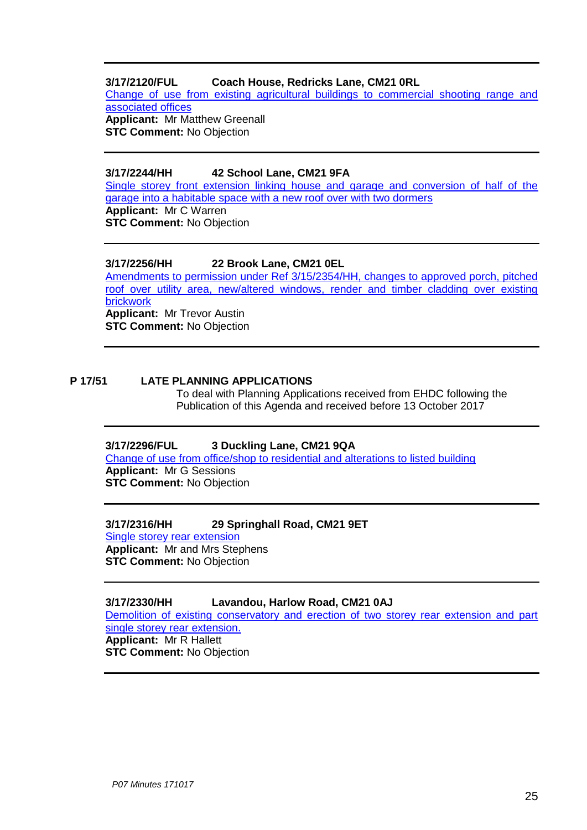#### **3/17/2120/FUL Coach House, Redricks Lane, CM21 0RL**

[Change of use from existing agricultural buildings to commercial shooting range and](https://publicaccess.eastherts.gov.uk/online-applications/applicationDetails.do?keyVal=OW7I5WGLIH700&activeTab=summary)  [associated offices](https://publicaccess.eastherts.gov.uk/online-applications/applicationDetails.do?keyVal=OW7I5WGLIH700&activeTab=summary) **Applicant:** Mr Matthew Greenall

**STC Comment:** No Objection

#### **3/17/2244/HH 42 School Lane, CM21 9FA**

[Single storey front extension linking house and garage and conversion of half of the](https://publicaccess.eastherts.gov.uk/online-applications/applicationDetails.do?activeTab=summary&keyVal=OWVTTGGL00X00)  garage into a habitable space [with a new roof over with two dormers](https://publicaccess.eastherts.gov.uk/online-applications/applicationDetails.do?activeTab=summary&keyVal=OWVTTGGL00X00) **Applicant:** Mr C Warren **STC Comment:** No Objection

#### **3/17/2256/HH 22 Brook Lane, CM21 0EL**

[Amendments to permission under Ref 3/15/2354/HH, changes to approved porch, pitched](https://publicaccess.eastherts.gov.uk/online-applications/applicationDetails.do?keyVal=OWXFJDGLIO100&activeTab=summary)  [roof over utility area, new/altered windows, render and timber cladding over existing](https://publicaccess.eastherts.gov.uk/online-applications/applicationDetails.do?keyVal=OWXFJDGLIO100&activeTab=summary)  [brickwork](https://publicaccess.eastherts.gov.uk/online-applications/applicationDetails.do?keyVal=OWXFJDGLIO100&activeTab=summary) **Applicant:** Mr Trevor Austin **STC Comment:** No Objection

#### **P 17/51 LATE PLANNING APPLICATIONS**

To deal with Planning Applications received from EHDC following the Publication of this Agenda and received before 13 October 2017

#### **3/17/2296/FUL 3 Duckling Lane, CM21 9QA**

[Change of use from office/shop to residential](https://publicaccess.eastherts.gov.uk/online-applications/applicationDetails.do?keyVal=OW7I5WGLIH700&activeTab=summary) and alterations to listed building **Applicant:** Mr G Sessions **STC Comment:** No Objection

#### **3/17/2316/HH 29 Springhall Road, CM21 9ET**

[Single storey rear](https://publicaccess.eastherts.gov.uk/online-applications/applicationDetails.do?activeTab=summary&keyVal=OWVTTGGL00X00) extension **Applicant:** Mr and Mrs Stephens **STC Comment:** No Objection

#### **3/17/2330/HH Lavandou, Harlow Road, CM21 0AJ**

[Demolition of existing conservatory and erection of two storey rear extension and part](https://publicaccess.eastherts.gov.uk/online-applications/applicationDetails.do?keyVal=OWXFJDGLIO100&activeTab=summary)  [single storey rear extension.](https://publicaccess.eastherts.gov.uk/online-applications/applicationDetails.do?keyVal=OWXFJDGLIO100&activeTab=summary) **Applicant:** Mr R Hallett

**STC Comment:** No Objection